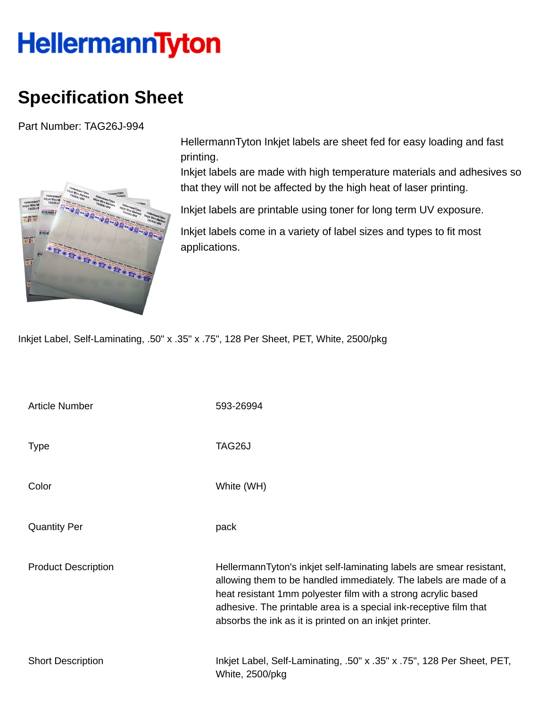## HellermannTyton

## **Specification Sheet**

Part Number: TAG26J-994



HellermannTyton Inkjet labels are sheet fed for easy loading and fast printing.

Inkjet labels are made with high temperature materials and adhesives so that they will not be affected by the high heat of laser printing.

Inkjet labels are printable using toner for long term UV exposure.

Inkjet labels come in a variety of label sizes and types to fit most applications.

Inkjet Label, Self-Laminating, .50" x .35" x .75", 128 Per Sheet, PET, White, 2500/pkg

| <b>Article Number</b>      | 593-26994                                                                                                                                                                                                                                                                                                                                 |
|----------------------------|-------------------------------------------------------------------------------------------------------------------------------------------------------------------------------------------------------------------------------------------------------------------------------------------------------------------------------------------|
| <b>Type</b>                | TAG26J                                                                                                                                                                                                                                                                                                                                    |
| Color                      | White (WH)                                                                                                                                                                                                                                                                                                                                |
| <b>Quantity Per</b>        | pack                                                                                                                                                                                                                                                                                                                                      |
| <b>Product Description</b> | HellermannTyton's inkjet self-laminating labels are smear resistant,<br>allowing them to be handled immediately. The labels are made of a<br>heat resistant 1mm polyester film with a strong acrylic based<br>adhesive. The printable area is a special ink-receptive film that<br>absorbs the ink as it is printed on an inkjet printer. |
| <b>Short Description</b>   | Inkjet Label, Self-Laminating, .50" x .35" x .75", 128 Per Sheet, PET,<br>White, 2500/pkg                                                                                                                                                                                                                                                 |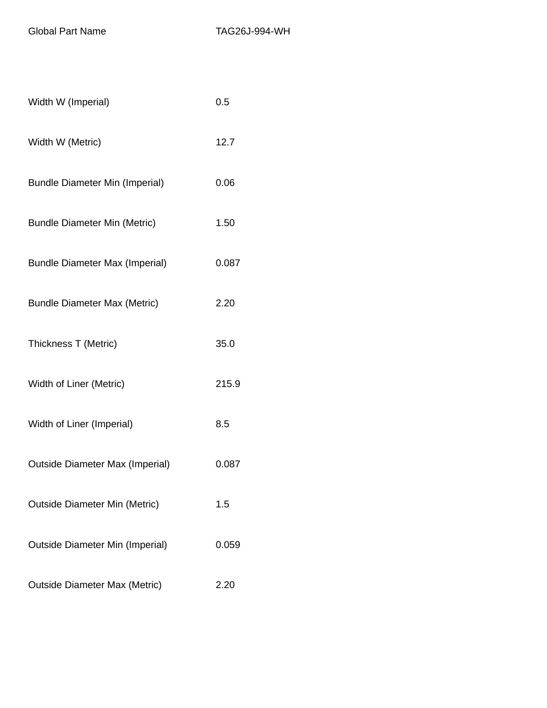Global Part Name TAG26J-994-WH

| Width W (Imperial)                     | 0.5   |
|----------------------------------------|-------|
| Width W (Metric)                       | 12.7  |
| <b>Bundle Diameter Min (Imperial)</b>  | 0.06  |
| <b>Bundle Diameter Min (Metric)</b>    | 1.50  |
| <b>Bundle Diameter Max (Imperial)</b>  | 0.087 |
| <b>Bundle Diameter Max (Metric)</b>    | 2.20  |
| Thickness T (Metric)                   | 35.0  |
| Width of Liner (Metric)                | 215.9 |
| Width of Liner (Imperial)              | 8.5   |
| <b>Outside Diameter Max (Imperial)</b> | 0.087 |
| Outside Diameter Min (Metric)          | 1.5   |
| <b>Outside Diameter Min (Imperial)</b> | 0.059 |
| <b>Outside Diameter Max (Metric)</b>   | 2.20  |